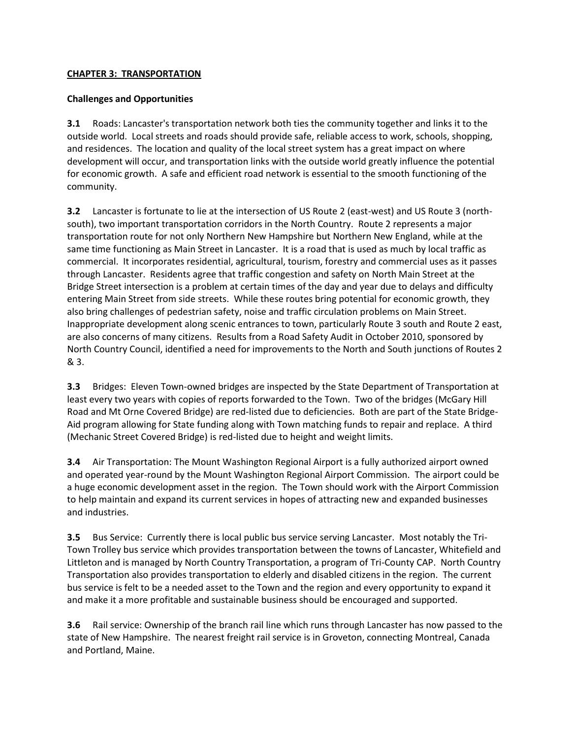## **CHAPTER 3: TRANSPORTATION**

## **Challenges and Opportunities**

**3.1** Roads: Lancaster's transportation network both ties the community together and links it to the outside world. Local streets and roads should provide safe, reliable access to work, schools, shopping, and residences. The location and quality of the local street system has a great impact on where development will occur, and transportation links with the outside world greatly influence the potential for economic growth. A safe and efficient road network is essential to the smooth functioning of the community.

**3.2** Lancaster is fortunate to lie at the intersection of US Route 2 (east-west) and US Route 3 (northsouth), two important transportation corridors in the North Country. Route 2 represents a major transportation route for not only Northern New Hampshire but Northern New England, while at the same time functioning as Main Street in Lancaster. It is a road that is used as much by local traffic as commercial. It incorporates residential, agricultural, tourism, forestry and commercial uses as it passes through Lancaster. Residents agree that traffic congestion and safety on North Main Street at the Bridge Street intersection is a problem at certain times of the day and year due to delays and difficulty entering Main Street from side streets.While these routes bring potential for economic growth, they also bring challenges of pedestrian safety, noise and traffic circulation problems on Main Street. Inappropriate development along scenic entrances to town, particularly Route 3 south and Route 2 east, are also concerns of many citizens. Results from a Road Safety Audit in October 2010, sponsored by North Country Council, identified a need for improvements to the North and South junctions of Routes 2 & 3.

**3.3** Bridges: Eleven Town-owned bridges are inspected by the State Department of Transportation at least every two years with copies of reports forwarded to the Town. Two of the bridges (McGary Hill Road and Mt Orne Covered Bridge) are red-listed due to deficiencies. Both are part of the State Bridge-Aid program allowing for State funding along with Town matching funds to repair and replace. A third (Mechanic Street Covered Bridge) is red-listed due to height and weight limits.

**3.4** Air Transportation: The Mount Washington Regional Airport is a fully authorized airport owned and operated year-round by the Mount Washington Regional Airport Commission. The airport could be a huge economic development asset in the region. The Town should work with the Airport Commission to help maintain and expand its current services in hopes of attracting new and expanded businesses and industries.

**3.5** Bus Service: Currently there is local public bus service serving Lancaster. Most notably the Tri-Town Trolley bus service which provides transportation between the towns of Lancaster, Whitefield and Littleton and is managed by North Country Transportation, a program of Tri-County CAP. North Country Transportation also provides transportation to elderly and disabled citizens in the region. The current bus service is felt to be a needed asset to the Town and the region and every opportunity to expand it and make it a more profitable and sustainable business should be encouraged and supported.

**3.6** Rail service: Ownership of the branch rail line which runs through Lancaster has now passed to the state of New Hampshire. The nearest freight rail service is in Groveton, connecting Montreal, Canada and Portland, Maine.